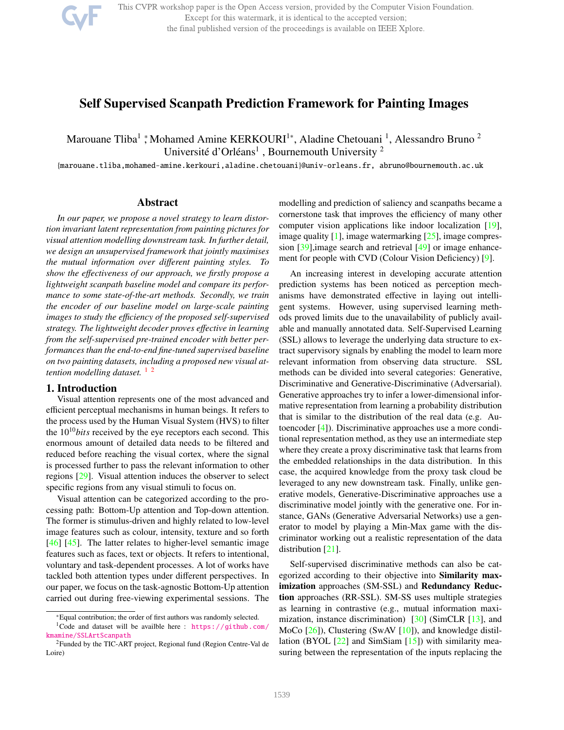

This CVPR workshop paper is the Open Access version, provided by the Computer Vision Foundation. Except for this watermark, it is identical to the accepted version; the final published version of the proceedings is available on IEEE Xplore.

# Self Supervised Scanpath Prediction Framework for Painting Images

Marouane Tliba<sup>1</sup> ; Mohamed Amine KERKOURI<sup>1\*</sup>, Aladine Chetouani<sup>1</sup>, Alessandro Bruno<sup>2</sup> Université d'Orléans<sup>1</sup>, Bournemouth University<sup>2</sup>

{marouane.tliba,mohamed-amine.kerkouri,aladine.chetouani}@univ-orleans.fr, abruno@bournemouth.ac.uk

## Abstract

*In our paper, we propose a novel strategy to learn distortion invariant latent representation from painting pictures for visual attention modelling downstream task. In further detail, we design an unsupervised framework that jointly maximises the mutual information over di*ff*erent painting styles. To show the e*ff*ectiveness of our approach, we firstly propose a lightweight scanpath baseline model and compare its performance to some state-of-the-art methods. Secondly, we train the encoder of our baseline model on large-scale painting images to study the e*ffi*ciency of the proposed self-supervised strategy. The lightweight decoder proves e*ff*ective in learning from the self-supervised pre-trained encoder with better performances than the end-to-end fine-tuned supervised baseline on two painting datasets, including a proposed new visual attention modelling dataset.* <sup>1</sup><sup>2</sup>

### 1. Introduction

Visual attention represents one of the most advanced and efficient perceptual mechanisms in human beings. It refers to the process used by the Human Visual System (HVS) to filter the  $10^{10}$ *bits* received by the eye receptors each second. This enormous amount of detailed data needs to be filtered and reduced before reaching the visual cortex, where the signal is processed further to pass the relevant information to other regions [29]. Visual attention induces the observer to select specific regions from any visual stimuli to focus on.

Visual attention can be categorized according to the processing path: Bottom-Up attention and Top-down attention. The former is stimulus-driven and highly related to low-level image features such as colour, intensity, texture and so forth [46] [45]. The latter relates to higher-level semantic image features such as faces, text or objects. It refers to intentional, voluntary and task-dependent processes. A lot of works have tackled both attention types under different perspectives. In our paper, we focus on the task-agnostic Bottom-Up attention carried out during free-viewing experimental sessions. The

modelling and prediction of saliency and scanpaths became a cornerstone task that improves the efficiency of many other computer vision applications like indoor localization [19], image quality  $[1]$ , image watermarking  $[25]$ , image compression [39], image search and retrieval [49] or image enhancement for people with CVD (Colour Vision Deficiency) [9].

An increasing interest in developing accurate attention prediction systems has been noticed as perception mechanisms have demonstrated effective in laying out intelligent systems. However, using supervised learning methods proved limits due to the unavailability of publicly available and manually annotated data. Self-Supervised Learning (SSL) allows to leverage the underlying data structure to extract supervisory signals by enabling the model to learn more relevant information from observing data structure. SSL methods can be divided into several categories: Generative, Discriminative and Generative-Discriminative (Adversarial). Generative approaches try to infer a lower-dimensional informative representation from learning a probability distribution that is similar to the distribution of the real data (e.g. Autoencoder [4]). Discriminative approaches use a more conditional representation method, as they use an intermediate step where they create a proxy discriminative task that learns from the embedded relationships in the data distribution. In this case, the acquired knowledge from the proxy task cloud be leveraged to any new downstream task. Finally, unlike generative models, Generative-Discriminative approaches use a discriminative model jointly with the generative one. For instance, GANs (Generative Adversarial Networks) use a generator to model by playing a Min-Max game with the discriminator working out a realistic representation of the data distribution [21].

Self-supervised discriminative methods can also be categorized according to their objective into Similarity maximization approaches (SM-SSL) and Redundancy Reduction approaches (RR-SSL). SM-SS uses multiple strategies as learning in contrastive (e.g., mutual information maximization, instance discrimination)  $[30]$  (SimCLR  $[13]$ , and MoCo [26]), Clustering (SwAV [10]), and knowledge distillation (BYOL [22] and SimSiam [15]) with similarity measuring between the representation of the inputs replacing the

<sup>\*</sup>Equal contribution; the order of first authors was randomly selected. <sup>1</sup>Code and dataset will be availble here : https://github.com/ kmamine/SSLArtScanpath

<sup>2</sup>Funded by the TIC-ART project, Regional fund (Region Centre-Val de Loire)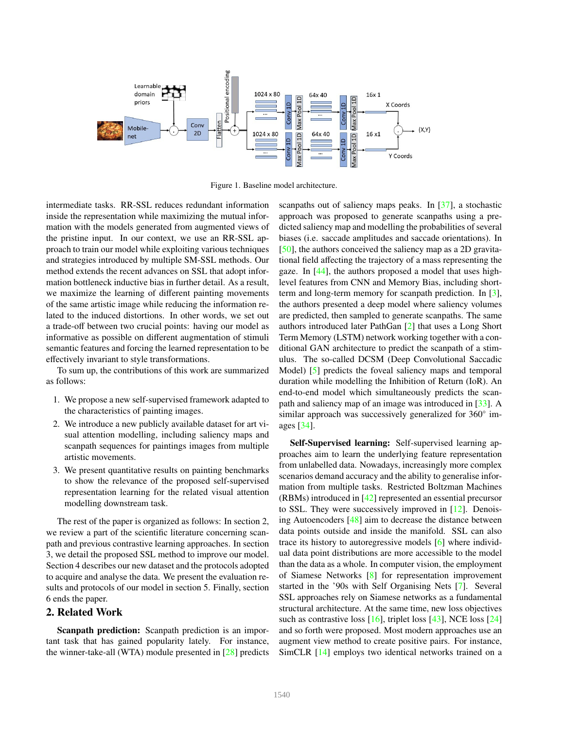

Figure 1. Baseline model architecture.

intermediate tasks. RR-SSL reduces redundant information inside the representation while maximizing the mutual information with the models generated from augmented views of the pristine input. In our context, we use an RR-SSL approach to train our model while exploiting various techniques and strategies introduced by multiple SM-SSL methods. Our method extends the recent advances on SSL that adopt information bottleneck inductive bias in further detail. As a result, we maximize the learning of different painting movements of the same artistic image while reducing the information related to the induced distortions. In other words, we set out a trade-off between two crucial points: having our model as informative as possible on different augmentation of stimuli semantic features and forcing the learned representation to be effectively invariant to style transformations.

To sum up, the contributions of this work are summarized as follows:

- 1. We propose a new self-supervised framework adapted to the characteristics of painting images.
- 2. We introduce a new publicly available dataset for art visual attention modelling, including saliency maps and scanpath sequences for paintings images from multiple artistic movements.
- 3. We present quantitative results on painting benchmarks to show the relevance of the proposed self-supervised representation learning for the related visual attention modelling downstream task.

The rest of the paper is organized as follows: In section 2, we review a part of the scientific literature concerning scanpath and previous contrastive learning approaches. In section 3, we detail the proposed SSL method to improve our model. Section 4 describes our new dataset and the protocols adopted to acquire and analyse the data. We present the evaluation results and protocols of our model in section 5. Finally, section 6 ends the paper.

## 2. Related Work

Scanpath prediction: Scanpath prediction is an important task that has gained popularity lately. For instance, the winner-take-all (WTA) module presented in [28] predicts

scanpaths out of saliency maps peaks. In [37], a stochastic approach was proposed to generate scanpaths using a predicted saliency map and modelling the probabilities of several biases (i.e. saccade amplitudes and saccade orientations). In [50], the authors conceived the saliency map as a 2D gravitational field affecting the trajectory of a mass representing the gaze. In [44], the authors proposed a model that uses highlevel features from CNN and Memory Bias, including shortterm and long-term memory for scanpath prediction. In [3], the authors presented a deep model where saliency volumes are predicted, then sampled to generate scanpaths. The same authors introduced later PathGan [2] that uses a Long Short Term Memory (LSTM) network working together with a conditional GAN architecture to predict the scanpath of a stimulus. The so-called DCSM (Deep Convolutional Saccadic Model) [5] predicts the foveal saliency maps and temporal duration while modelling the Inhibition of Return (IoR). An end-to-end model which simultaneously predicts the scanpath and saliency map of an image was introduced in [33]. A similar approach was successively generalized for 360° images [34].

Self-Supervised learning: Self-supervised learning approaches aim to learn the underlying feature representation from unlabelled data. Nowadays, increasingly more complex scenarios demand accuracy and the ability to generalise information from multiple tasks. Restricted Boltzman Machines (RBMs) introduced in [42] represented an essential precursor to SSL. They were successively improved in [12]. Denoising Autoencoders [48] aim to decrease the distance between data points outside and inside the manifold. SSL can also trace its history to autoregressive models [6] where individual data point distributions are more accessible to the model than the data as a whole. In computer vision, the employment of Siamese Networks [8] for representation improvement started in the '90s with Self Organising Nets [7]. Several SSL approaches rely on Siamese networks as a fundamental structural architecture. At the same time, new loss objectives such as contrastive loss [16], triplet loss [43], NCE loss [24] and so forth were proposed. Most modern approaches use an augment view method to create positive pairs. For instance, SimCLR [14] employs two identical networks trained on a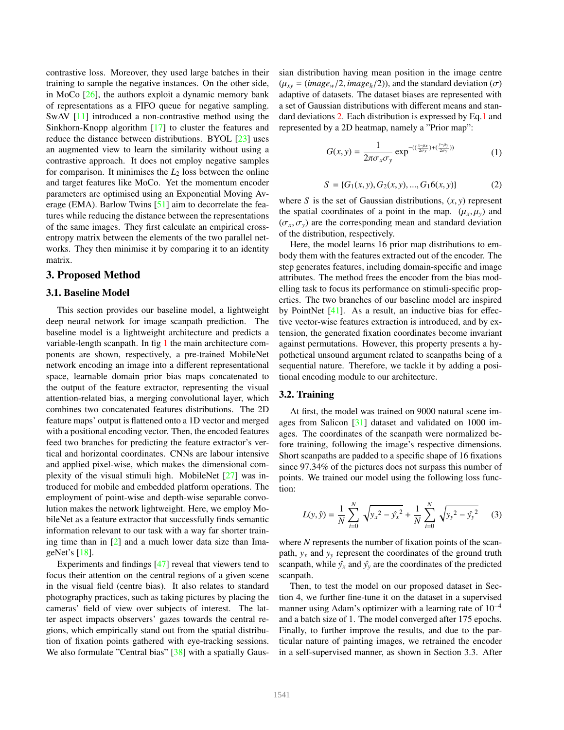contrastive loss. Moreover, they used large batches in their training to sample the negative instances. On the other side, in MoCo [26], the authors exploit a dynamic memory bank of representations as a FIFO queue for negative sampling. SwAV [11] introduced a non-contrastive method using the Sinkhorn-Knopp algorithm [17] to cluster the features and reduce the distance between distributions. BYOL [23] uses an augmented view to learn the similarity without using a contrastive approach. It does not employ negative samples for comparison. It minimises the  $L_2$  loss between the online and target features like MoCo. Yet the momentum encoder parameters are optimised using an Exponential Moving Average (EMA). Barlow Twins [51] aim to decorrelate the features while reducing the distance between the representations of the same images. They first calculate an empirical crossentropy matrix between the elements of the two parallel networks. They then minimise it by comparing it to an identity matrix.

### 3. Proposed Method

#### 3.1. Baseline Model

This section provides our baseline model, a lightweight deep neural network for image scanpath prediction. The baseline model is a lightweight architecture and predicts a variable-length scanpath. In fig 1 the main architecture components are shown, respectively, a pre-trained MobileNet network encoding an image into a different representational space, learnable domain prior bias maps concatenated to the output of the feature extractor, representing the visual attention-related bias, a merging convolutional layer, which combines two concatenated features distributions. The 2D feature maps' output is flattened onto a 1D vector and merged with a positional encoding vector. Then, the encoded features feed two branches for predicting the feature extractor's vertical and horizontal coordinates. CNNs are labour intensive and applied pixel-wise, which makes the dimensional complexity of the visual stimuli high. MobileNet [27] was introduced for mobile and embedded platform operations. The employment of point-wise and depth-wise separable convolution makes the network lightweight. Here, we employ MobileNet as a feature extractor that successfully finds semantic information relevant to our task with a way far shorter training time than in [2] and a much lower data size than ImageNet's [18].

Experiments and findings [47] reveal that viewers tend to focus their attention on the central regions of a given scene in the visual field (centre bias). It also relates to standard photography practices, such as taking pictures by placing the cameras' field of view over subjects of interest. The latter aspect impacts observers' gazes towards the central regions, which empirically stand out from the spatial distribution of fixation points gathered with eye-tracking sessions. We also formulate "Central bias" [38] with a spatially Gaussian distribution having mean position in the image centre  $(\mu_{xy} = (image_w/2, image_h/2))$ , and the standard deviation  $(\sigma)$ adaptive of datasets. The dataset biases are represented with a set of Gaussian distributions with different means and standard deviations 2. Each distribution is expressed by Eq.1 and represented by a 2D heatmap, namely a "Prior map":

$$
G(x, y) = \frac{1}{2\pi\sigma_x\sigma_y} \exp^{-(\left(\frac{x-\mu_x}{2\sigma_x}\right) + \left(\frac{y-\mu_y}{2\sigma_y}\right))}
$$
(1)

$$
S = \{G_1(x, y), G_2(x, y), ..., G_16(x, y)\}\tag{2}
$$

where *<sup>S</sup>* is the set of Gaussian distributions, (*x*, *<sup>y</sup>*) represent the spatial coordinates of a point in the map.  $(\mu_x, \mu_y)$  and  $(\sigma_x, \sigma_y)$  are the corresponding mean and standard deviation of the distribution, respectively.

Here, the model learns 16 prior map distributions to embody them with the features extracted out of the encoder. The step generates features, including domain-specific and image attributes. The method frees the encoder from the bias modelling task to focus its performance on stimuli-specific properties. The two branches of our baseline model are inspired by PointNet [41]. As a result, an inductive bias for effective vector-wise features extraction is introduced, and by extension, the generated fixation coordinates become invariant against permutations. However, this property presents a hypothetical unsound argument related to scanpaths being of a sequential nature. Therefore, we tackle it by adding a positional encoding module to our architecture.

## 3.2. Training

At first, the model was trained on 9000 natural scene images from Salicon [31] dataset and validated on 1000 images. The coordinates of the scanpath were normalized before training, following the image's respective dimensions. Short scanpaths are padded to a specific shape of 16 fixations since 97.34% of the pictures does not surpass this number of points. We trained our model using the following loss function:

$$
L(y, \hat{y}) = \frac{1}{N} \sum_{i=0}^{N} \sqrt{y_x^2 - \hat{y_x}^2} + \frac{1}{N} \sum_{i=0}^{N} \sqrt{y_y^2 - \hat{y_y}^2}
$$
 (3)

where *N* represents the number of fixation points of the scanpath,  $y_x$  and  $y_y$  represent the coordinates of the ground truth scanpath, while  $\hat{y}_x$  and  $\hat{y}_y$  are the coordinates of the predicted scanpath.

Then, to test the model on our proposed dataset in Section 4, we further fine-tune it on the dataset in a supervised manner using Adam's optimizer with a learning rate of 10<sup>−</sup><sup>4</sup> and a batch size of 1. The model converged after 175 epochs. Finally, to further improve the results, and due to the particular nature of painting images, we retrained the encoder in a self-supervised manner, as shown in Section 3.3. After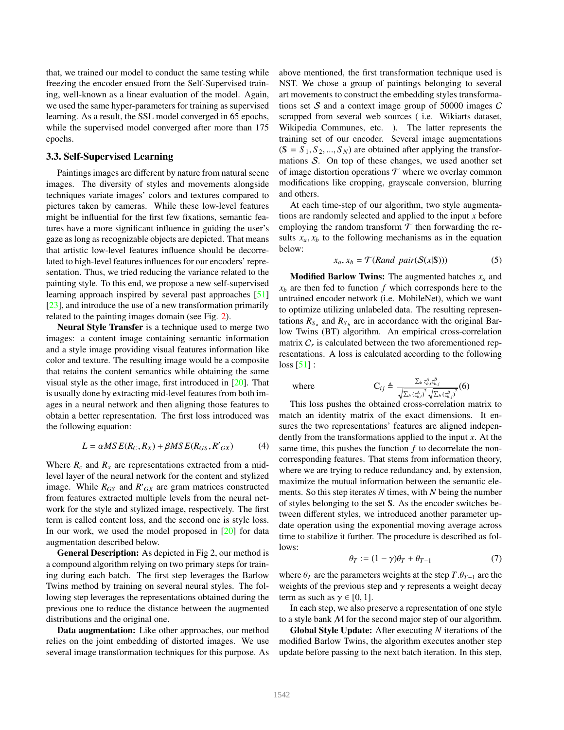that, we trained our model to conduct the same testing while freezing the encoder ensued from the Self-Supervised training, well-known as a linear evaluation of the model. Again, we used the same hyper-parameters for training as supervised learning. As a result, the SSL model converged in 65 epochs, while the supervised model converged after more than 175 epochs.

### 3.3. Self-Supervised Learning

Paintings images are different by nature from natural scene images. The diversity of styles and movements alongside techniques variate images' colors and textures compared to pictures taken by cameras. While these low-level features might be influential for the first few fixations, semantic features have a more significant influence in guiding the user's gaze as long as recognizable objects are depicted. That means that artistic low-level features influence should be decorrelated to high-level features influences for our encoders' representation. Thus, we tried reducing the variance related to the painting style. To this end, we propose a new self-supervised learning approach inspired by several past approaches [51] [23], and introduce the use of a new transformation primarily related to the painting images domain (see Fig. 2).

Neural Style Transfer is a technique used to merge two images: a content image containing semantic information and a style image providing visual features information like color and texture. The resulting image would be a composite that retains the content semantics while obtaining the same visual style as the other image, first introduced in [20]. That is usually done by extracting mid-level features from both images in a neural network and then aligning those features to obtain a better representation. The first loss introduced was the following equation:

$$
L = \alpha MS E(R_C, R_X) + \beta MS E(R_{GS}, R'_{GX})
$$
 (4)

Where  $R_c$  and  $R_x$  are representations extracted from a midlevel layer of the neural network for the content and stylized image. While  $R_{GS}$  and  $R'_{GX}$  are gram matrices constructed from features extracted multiple levels from the neural network for the style and stylized image, respectively. The first term is called content loss, and the second one is style loss. In our work, we used the model proposed in [20] for data augmentation described below.

General Description: As depicted in Fig 2, our method is a compound algorithm relying on two primary steps for training during each batch. The first step leverages the Barlow Twins method by training on several neural styles. The following step leverages the representations obtained during the previous one to reduce the distance between the augmented distributions and the original one.

Data augmentation: Like other approaches, our method relies on the joint embedding of distorted images. We use several image transformation techniques for this purpose. As

above mentioned, the first transformation technique used is NST. We chose a group of paintings belonging to several art movements to construct the embedding styles transformations set  $S$  and a context image group of 50000 images  $C$ scrapped from several web sources ( i.e. Wikiarts dataset, Wikipedia Communes, etc. ). The latter represents the training set of our encoder. Several image augmentations  $(S = S_1, S_2, ..., S_N)$  are obtained after applying the transformations  $S$ . On top of these changes, we used another set of image distortion operations  $T$  where we overlay common modifications like cropping, grayscale conversion, blurring and others.

At each time-step of our algorithm, two style augmentations are randomly selected and applied to the input *x* before employing the random transform  $\mathcal T$  then forwarding the results  $x_a, x_b$  to the following mechanisms as in the equation below:

$$
x_a, x_b = \mathcal{T}(Rand\_pair(\mathcal{S}(x|\mathbf{S}))) \tag{5}
$$

Modified Barlow Twins: The augmented batches *x<sup>a</sup>* and  $x_b$  are then fed to function  $f$  which corresponds here to the untrained encoder network (i.e. MobileNet), which we want to optimize utilizing unlabeled data. The resulting representations  $R_{S_a}$  and  $R_{S_b}$  are in accordance with the original Barlow Twins (BT) algorithm. An empirical cross-correlation matrix  $C_r$  is calculated between the two aforementioned representations. A loss is calculated according to the following  $loss [51]$ :

where

$$
C_{ij} \triangleq \frac{\sum_{b} z_{b,i}^A z_{b,j}^B}{\sqrt{\sum_{b} (z_{b,i}^A)^2} \sqrt{\sum_{b} (z_{b,i}^B)^2}} (6)
$$

 $\chi^{\mathcal{L},b} \circ \kappa_{b,i'} \chi^{\mathcal{L},b} \circ \kappa_{b,j'}$ <br>This loss pushes the obtained cross-correlation matrix to match an identity matrix of the exact dimensions. It ensures the two representations' features are aligned independently from the transformations applied to the input *x*. At the same time, this pushes the function *f* to decorrelate the noncorresponding features. That stems from information theory, where we are trying to reduce redundancy and, by extension, maximize the mutual information between the semantic elements. So this step iterates *N* times, with *N* being the number of styles belonging to the set  $S$ . As the encoder switches between different styles, we introduced another parameter update operation using the exponential moving average across time to stabilize it further. The procedure is described as follows:

$$
\theta_T := (1 - \gamma)\theta_T + \theta_{T-1} \tag{7}
$$

where  $\theta_T$  are the parameters weights at the step  $T.\theta_{T-1}$  are the weights of the previous step and  $\gamma$  represents a weight decay term as such as  $\gamma \in [0, 1]$ .

In each step, we also preserve a representation of one style to a style bank M for the second major step of our algorithm.

Global Style Update: After executing *N* iterations of the modified Barlow Twins, the algorithm executes another step update before passing to the next batch iteration. In this step,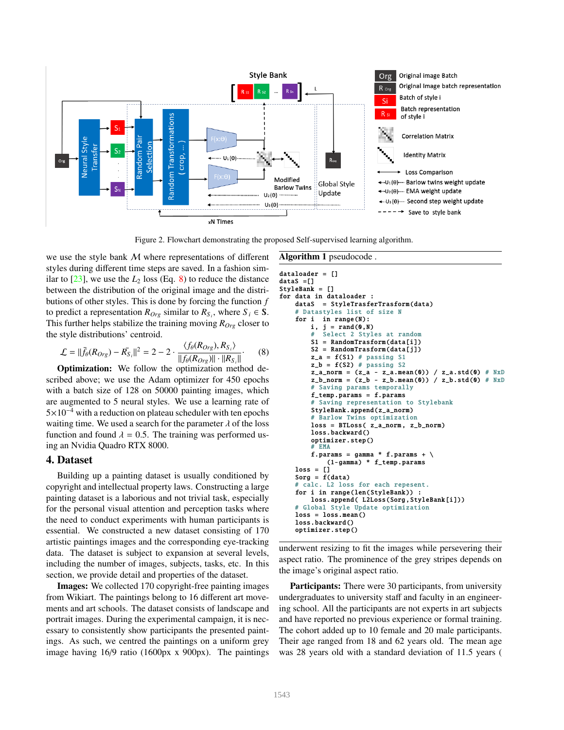

Figure 2. Flowchart demonstrating the proposed Self-supervised learning algorithm.

we use the style bank M where representations of different styles during different time steps are saved. In a fashion similar to  $[23]$ , we use the  $L_2$  loss (Eq. 8) to reduce the distance between the distribution of the original image and the distributions of other styles. This is done by forcing the function *f* to predict a representation  $R_{Org}$  similar to  $R_{S_i}$ , where  $S_i \in S$ . This further helps stabilize the training moving *ROrg* closer to the style distributions' centroid.

$$
\mathcal{L} = ||\bar{f}_{\theta}(R_{Org}) - \bar{R_{S}}_{i}||^{2} = 2 - 2 \cdot \frac{\langle f_{\theta}(R_{Org}), R_{S_{i}} \rangle}{||f_{\theta}(R_{Org})|| \cdot ||R_{S_{i}}||}. \tag{8}
$$

Optimization: We follow the optimization method described above; we use the Adam optimizer for 450 epochs with a batch size of 128 on 50000 painting images, which are augmented to 5 neural styles. We use a learning rate of 5×10<sup>−</sup><sup>4</sup> with a reduction on plateau scheduler with ten epochs waiting time. We used a search for the parameter  $\lambda$  of the loss function and found  $\lambda = 0.5$ . The training was performed using an Nvidia Quadro RTX 8000.

### 4. Dataset

Building up a painting dataset is usually conditioned by copyright and intellectual property laws. Constructing a large painting dataset is a laborious and not trivial task, especially for the personal visual attention and perception tasks where the need to conduct experiments with human participants is essential. We constructed a new dataset consisting of 170 artistic paintings images and the corresponding eye-tracking data. The dataset is subject to expansion at several levels, including the number of images, subjects, tasks, etc. In this section, we provide detail and properties of the dataset.

Images: We collected 170 copyright-free painting images from Wikiart. The paintings belong to 16 different art movements and art schools. The dataset consists of landscape and portrait images. During the experimental campaign, it is necessary to consistently show participants the presented paintings. As such, we centred the paintings on a uniform grey image having 16/9 ratio (1600px x 900px). The paintings

```
dataloader = []
dataS = \lceil \rceilStyleBank = []
for data in dataloader :
    dataS = StyleTrasferTrasform (data)
    # Datastyles list of size N
    for i in range(N):
        i, j = rand(0,N)
```
Algorithm 1 pseudocode .

```
# Select 2 Styles at random
    S1 = RandomTrasform(data[i])S2 = RandomTrasform (data[j])
    z_a = f(S1) # passing S1
    z_b = f(S2) # passing S2
    z_a-a_norm = (z_a - z_a). mean (0)) / z_a. std (0) # NxD
    z_b-norm = (z_b - z_b).mean (0)) / z_b.std (0) # NxD
     Saving params temporally
    f_temp.params = f.params
    # Saving representation to Stylebank
    StyleBank .append(z_a_norm)
    # Barlow Twins optimization
    loss = BTLoss( z_a_norm , z_b_norm)
    loss.backward ()
    optimizer .step ()
      EMA
    f.params = gamma * f.params + \setminus(1- gamma) * f_temp.params
loss = []Sorg = f(data)# calc. L2 loss for each repesent.
for i in range(len( StyleBank )) :
    loss.append( L2Loss(Sorg , StyleBank [i]))
# Global Style Update optimization
loss = loss_mean()loss. backward ()
optimizer .step ()
```
underwent resizing to fit the images while persevering their aspect ratio. The prominence of the grey stripes depends on the image's original aspect ratio.

**Participants:** There were 30 participants, from university undergraduates to university staff and faculty in an engineering school. All the participants are not experts in art subjects and have reported no previous experience or formal training. The cohort added up to 10 female and 20 male participants. Their age ranged from 18 and 62 years old. The mean age was 28 years old with a standard deviation of 11.5 years (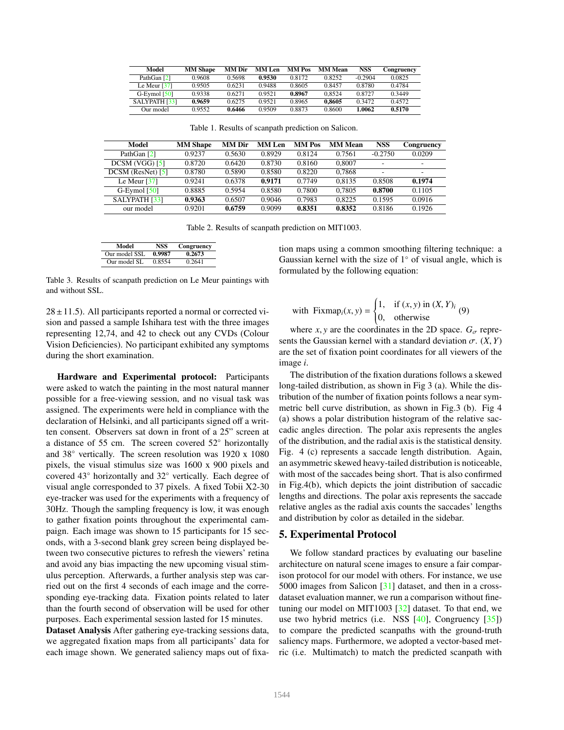| Model                | <b>MM Shape</b> | MM Dir | <b>MM</b> Len | MM Pos | <b>MM Mean</b> | <b>NSS</b> | Congruency |
|----------------------|-----------------|--------|---------------|--------|----------------|------------|------------|
| PathGan [2]          | 0.9608          | 0.5698 | 0.9530        | 0.8172 | 0.8252         | $-0.2904$  | 0.0825     |
| Le Meur $[37]$       | 0.9505          | 0.6231 | 0.9488        | 0.8605 | 0.8457         | 0.8780     | 0.4784     |
| G-Eymol $[50]$       | 0.9338          | 0.6271 | 0.9521        | 0.8967 | 0.8524         | 0.8727     | 0.3449     |
| <b>SALYPATH [33]</b> | 0.9659          | 0.6275 | 0.9521        | 0.8965 | 0.8605         | 0.3472     | 0.4572     |
| Our model            | 0.9552          | 0.6466 | 0.9509        | 0.8873 | 0.8600         | 1.0062     | 0.5170     |

Table 1. Results of scanpath prediction on Salicon.

| Model                      | <b>MM</b> Shape | <b>MM</b> Dir | <b>MM</b> Len | <b>MM</b> Pos | <b>MM Mean</b> | <b>NSS</b> | Congruency               |
|----------------------------|-----------------|---------------|---------------|---------------|----------------|------------|--------------------------|
| PathGan [2]                | 0.9237          | 0.5630        | 0.8929        | 0.8124        | 0.7561         | $-0.2750$  | 0.0209                   |
| DCSM (VGG) [5]             | 0.8720          | 0.6420        | 0.8730        | 0.8160        | 0.8007         |            | $\overline{\phantom{a}}$ |
| $DCSM$ (ResNet) $[5]$      | 0.8780          | 0.5890        | 0.8580        | 0.8220        | 0.7868         |            | $\overline{\phantom{a}}$ |
| Le Meur $\lceil 37 \rceil$ | 0.9241          | 0.6378        | 0.9171        | 0.7749        | 0.8135         | 0.8508     | 0.1974                   |
| $G$ -Eymol $[50]$          | 0.8885          | 0.5954        | 0.8580        | 0.7800        | 0.7805         | 0.8700     | 0.1105                   |
| SALYPATH [33]              | 0.9363          | 0.6507        | 0.9046        | 0.7983        | 0.8225         | 0.1595     | 0.0916                   |
| our model                  | 0.9201          | 0.6759        | 0.9099        | 0.8351        | 0.8352         | 0.8186     | 0.1926                   |

Table 2. Results of scanpath prediction on MIT1003.

| Model         | NSS    | Congruency |
|---------------|--------|------------|
| Our model SSL | 0.9987 | 0.2673     |
| Our model SL  | 0.8554 | 0.2641     |

Table 3. Results of scanpath prediction on Le Meur paintings with and without SSL.

 $28 \pm 11.5$ ). All participants reported a normal or corrected vision and passed a sample Ishihara test with the three images representing 12,74, and 42 to check out any CVDs (Colour Vision Deficiencies). No participant exhibited any symptoms during the short examination.

Hardware and Experimental protocol: Participants were asked to watch the painting in the most natural manner possible for a free-viewing session, and no visual task was assigned. The experiments were held in compliance with the declaration of Helsinki, and all participants signed off a written consent. Observers sat down in front of a 25" screen at a distance of 55 cm. The screen covered 52◦ horizontally and 38◦ vertically. The screen resolution was 1920 x 1080 pixels, the visual stimulus size was 1600 x 900 pixels and covered 43◦ horizontally and 32◦ vertically. Each degree of visual angle corresponded to 37 pixels. A fixed Tobii X2-30 eye-tracker was used for the experiments with a frequency of 30Hz. Though the sampling frequency is low, it was enough to gather fixation points throughout the experimental campaign. Each image was shown to 15 participants for 15 seconds, with a 3-second blank grey screen being displayed between two consecutive pictures to refresh the viewers' retina and avoid any bias impacting the new upcoming visual stimulus perception. Afterwards, a further analysis step was carried out on the first 4 seconds of each image and the corresponding eye-tracking data. Fixation points related to later than the fourth second of observation will be used for other purposes. Each experimental session lasted for 15 minutes.

Dataset Analysis After gathering eye-tracking sessions data, we aggregated fixation maps from all participants' data for each image shown. We generated saliency maps out of fixation maps using a common smoothing filtering technique: a Gaussian kernel with the size of 1◦ of visual angle, which is formulated by the following equation:

with Fixmap<sub>i</sub>(x, y) = 
$$
\begin{cases} 1, & \text{if } (x, y) \text{ in } (X, Y)_{i} \\ 0, & \text{otherwise} \end{cases}
$$
 (9)

where *x*, *y* are the coordinates in the 2D space.  $G_{\sigma}$  repre-<br>ts the Gaussian kernel with a standard deviation  $\sigma_{\sigma}$  (*X Y*) sents the Gaussian kernel with a standard deviation  $\sigma$ .  $(X, Y)$ are the set of fixation point coordinates for all viewers of the image *i*.

The distribution of the fixation durations follows a skewed long-tailed distribution, as shown in Fig 3 (a). While the distribution of the number of fixation points follows a near symmetric bell curve distribution, as shown in Fig.3 (b). Fig 4 (a) shows a polar distribution histogram of the relative saccadic angles direction. The polar axis represents the angles of the distribution, and the radial axis is the statistical density. Fig. 4 (c) represents a saccade length distribution. Again, an asymmetric skewed heavy-tailed distribution is noticeable, with most of the saccades being short. That is also confirmed in Fig.4(b), which depicts the joint distribution of saccadic lengths and directions. The polar axis represents the saccade relative angles as the radial axis counts the saccades' lengths and distribution by color as detailed in the sidebar.

## 5. Experimental Protocol

We follow standard practices by evaluating our baseline architecture on natural scene images to ensure a fair comparison protocol for our model with others. For instance, we use 5000 images from Salicon [31] dataset, and then in a crossdataset evaluation manner, we run a comparison without finetuning our model on MIT1003 [32] dataset. To that end, we use two hybrid metrics (i.e. NSS [40], Congruency [35]) to compare the predicted scanpaths with the ground-truth saliency maps. Furthermore, we adopted a vector-based metric (i.e. Multimatch) to match the predicted scanpath with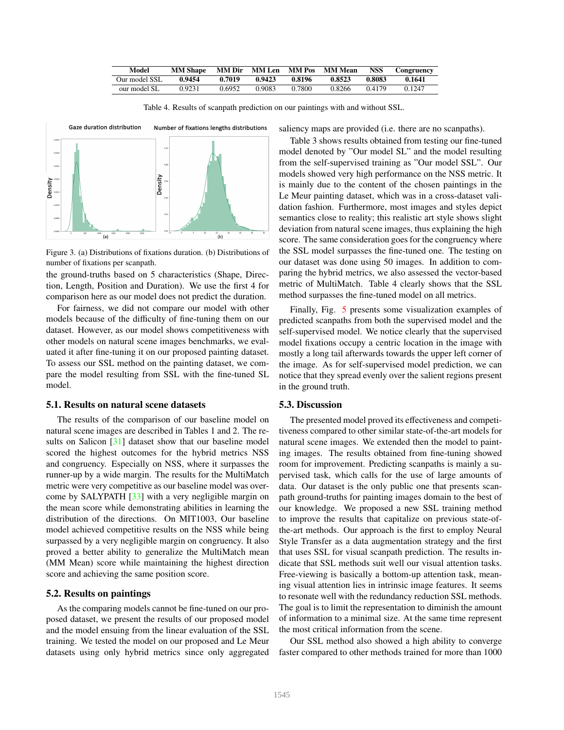| Model         | <b>MM</b> Shape | MM Dir | <b>MM Len</b> MM Pos |        | <b>MM Mean</b> | <b>NSS</b> | Congruency |
|---------------|-----------------|--------|----------------------|--------|----------------|------------|------------|
| Our model SSL | 0.9454          | 0.7019 | 0.9423               | 0.8196 | 0.8523         | 0.8083     | 0.1641     |
| our model SL  | 0.9231          | 0.6952 | 0.9083               | 0.7800 | 0.8266         | 0.4179     | 0.1247     |

Table 4. Results of scanpath prediction on our paintings with and without SSL.



Figure 3. (a) Distributions of fixations duration. (b) Distributions of number of fixations per scanpath.

the ground-truths based on 5 characteristics (Shape, Direction, Length, Position and Duration). We use the first 4 for comparison here as our model does not predict the duration.

For fairness, we did not compare our model with other models because of the difficulty of fine-tuning them on our dataset. However, as our model shows competitiveness with other models on natural scene images benchmarks, we evaluated it after fine-tuning it on our proposed painting dataset. To assess our SSL method on the painting dataset, we compare the model resulting from SSL with the fine-tuned SL model.

### 5.1. Results on natural scene datasets

The results of the comparison of our baseline model on natural scene images are described in Tables 1 and 2. The results on Salicon [31] dataset show that our baseline model scored the highest outcomes for the hybrid metrics NSS and congruency. Especially on NSS, where it surpasses the runner-up by a wide margin. The results for the MultiMatch metric were very competitive as our baseline model was overcome by SALYPATH [33] with a very negligible margin on the mean score while demonstrating abilities in learning the distribution of the directions. On MIT1003, Our baseline model achieved competitive results on the NSS while being surpassed by a very negligible margin on congruency. It also proved a better ability to generalize the MultiMatch mean (MM Mean) score while maintaining the highest direction score and achieving the same position score.

### 5.2. Results on paintings

As the comparing models cannot be fine-tuned on our proposed dataset, we present the results of our proposed model and the model ensuing from the linear evaluation of the SSL training. We tested the model on our proposed and Le Meur datasets using only hybrid metrics since only aggregated saliency maps are provided (i.e. there are no scanpaths).

Table 3 shows results obtained from testing our fine-tuned model denoted by "Our model SL" and the model resulting from the self-supervised training as "Our model SSL". Our models showed very high performance on the NSS metric. It is mainly due to the content of the chosen paintings in the Le Meur painting dataset, which was in a cross-dataset validation fashion. Furthermore, most images and styles depict semantics close to reality; this realistic art style shows slight deviation from natural scene images, thus explaining the high score. The same consideration goes for the congruency where the SSL model surpasses the fine-tuned one. The testing on our dataset was done using 50 images. In addition to comparing the hybrid metrics, we also assessed the vector-based metric of MultiMatch. Table 4 clearly shows that the SSL method surpasses the fine-tuned model on all metrics.

Finally, Fig. 5 presents some visualization examples of predicted scanpaths from both the supervised model and the self-supervised model. We notice clearly that the supervised model fixations occupy a centric location in the image with mostly a long tail afterwards towards the upper left corner of the image. As for self-supervised model prediction, we can notice that they spread evenly over the salient regions present in the ground truth.

### 5.3. Discussion

The presented model proved its effectiveness and competitiveness compared to other similar state-of-the-art models for natural scene images. We extended then the model to painting images. The results obtained from fine-tuning showed room for improvement. Predicting scanpaths is mainly a supervised task, which calls for the use of large amounts of data. Our dataset is the only public one that presents scanpath ground-truths for painting images domain to the best of our knowledge. We proposed a new SSL training method to improve the results that capitalize on previous state-ofthe-art methods. Our approach is the first to employ Neural Style Transfer as a data augmentation strategy and the first that uses SSL for visual scanpath prediction. The results indicate that SSL methods suit well our visual attention tasks. Free-viewing is basically a bottom-up attention task, meaning visual attention lies in intrinsic image features. It seems to resonate well with the redundancy reduction SSL methods. The goal is to limit the representation to diminish the amount of information to a minimal size. At the same time represent the most critical information from the scene.

Our SSL method also showed a high ability to converge faster compared to other methods trained for more than 1000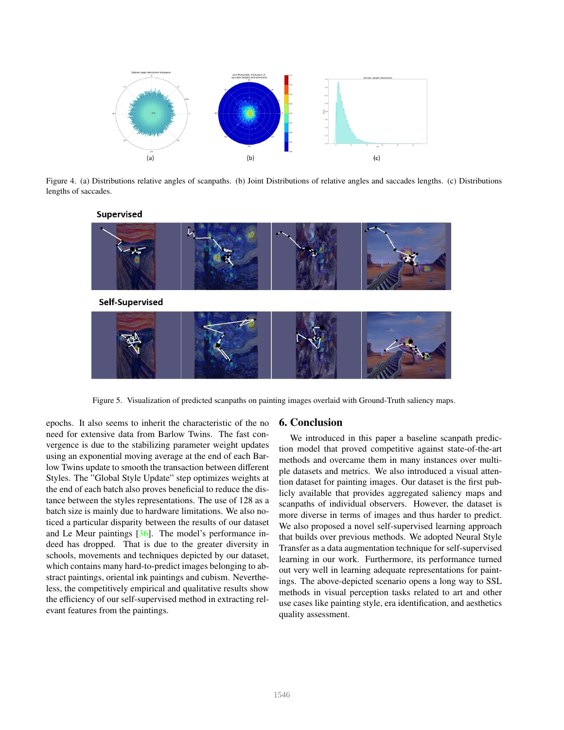

Figure 4. (a) Distributions relative angles of scanpaths. (b) Joint Distributions of relative angles and saccades lengths. (c) Distributions lengths of saccades.



Figure 5. Visualization of predicted scanpaths on painting images overlaid with Ground-Truth saliency maps.

epochs. It also seems to inherit the characteristic of the no need for extensive data from Barlow Twins. The fast convergence is due to the stabilizing parameter weight updates using an exponential moving average at the end of each Barlow Twins update to smooth the transaction between different Styles. The "Global Style Update" step optimizes weights at the end of each batch also proves beneficial to reduce the distance between the styles representations. The use of 128 as a batch size is mainly due to hardware limitations. We also noticed a particular disparity between the results of our dataset and Le Meur paintings [36]. The model's performance indeed has dropped. That is due to the greater diversity in schools, movements and techniques depicted by our dataset, which contains many hard-to-predict images belonging to abstract paintings, oriental ink paintings and cubism. Nevertheless, the competitively empirical and qualitative results show the efficiency of our self-supervised method in extracting relevant features from the paintings.

### 6. Conclusion

We introduced in this paper a baseline scanpath prediction model that proved competitive against state-of-the-art methods and overcame them in many instances over multiple datasets and metrics. We also introduced a visual attention dataset for painting images. Our dataset is the first publicly available that provides aggregated saliency maps and scanpaths of individual observers. However, the dataset is more diverse in terms of images and thus harder to predict. We also proposed a novel self-supervised learning approach that builds over previous methods. We adopted Neural Style Transfer as a data augmentation technique for self-supervised learning in our work. Furthermore, its performance turned out very well in learning adequate representations for paintings. The above-depicted scenario opens a long way to SSL methods in visual perception tasks related to art and other use cases like painting style, era identification, and aesthetics quality assessment.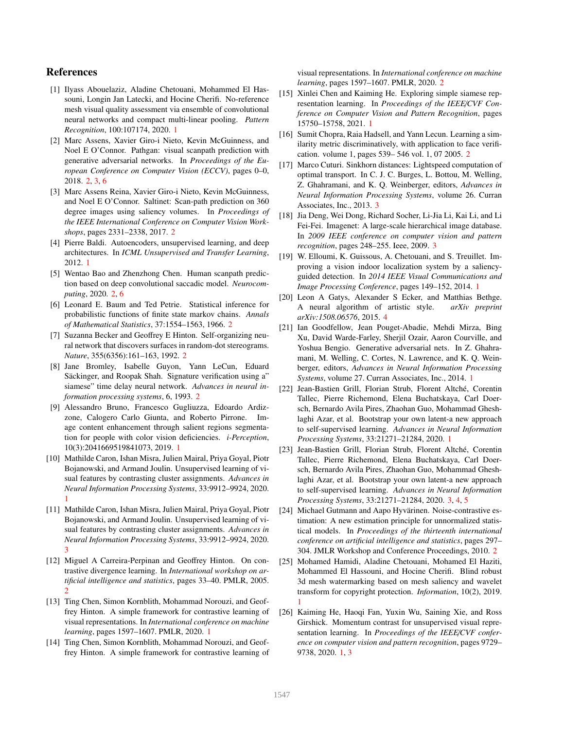## References

- [1] Ilyass Abouelaziz, Aladine Chetouani, Mohammed El Hassouni, Longin Jan Latecki, and Hocine Cherifi. No-reference mesh visual quality assessment via ensemble of convolutional neural networks and compact multi-linear pooling. *Pattern Recognition*, 100:107174, 2020. 1
- [2] Marc Assens, Xavier Giro-i Nieto, Kevin McGuinness, and Noel E O'Connor. Pathgan: visual scanpath prediction with generative adversarial networks. In *Proceedings of the European Conference on Computer Vision (ECCV)*, pages 0–0, 2018. 2, 3, 6
- [3] Marc Assens Reina, Xavier Giro-i Nieto, Kevin McGuinness, and Noel E O'Connor. Saltinet: Scan-path prediction on 360 degree images using saliency volumes. In *Proceedings of the IEEE International Conference on Computer Vision Workshops*, pages 2331–2338, 2017. 2
- [4] Pierre Baldi. Autoencoders, unsupervised learning, and deep architectures. In *ICML Unsupervised and Transfer Learning*, 2012. 1
- [5] Wentao Bao and Zhenzhong Chen. Human scanpath prediction based on deep convolutional saccadic model. *Neurocomputing*, 2020. 2, 6
- [6] Leonard E. Baum and Ted Petrie. Statistical inference for probabilistic functions of finite state markov chains. *Annals of Mathematical Statistics*, 37:1554–1563, 1966. 2
- [7] Suzanna Becker and Geoffrey E Hinton. Self-organizing neural network that discovers surfaces in random-dot stereograms. *Nature*, 355(6356):161–163, 1992. 2
- [8] Jane Bromley, Isabelle Guyon, Yann LeCun, Eduard Säckinger, and Roopak Shah. Signature verification using a" siamese" time delay neural network. *Advances in neural information processing systems*, 6, 1993. 2
- [9] Alessandro Bruno, Francesco Gugliuzza, Edoardo Ardizzone, Calogero Carlo Giunta, and Roberto Pirrone. Image content enhancement through salient regions segmentation for people with color vision deficiencies. *i-Perception*, 10(3):2041669519841073, 2019. 1
- [10] Mathilde Caron, Ishan Misra, Julien Mairal, Priya Goyal, Piotr Bojanowski, and Armand Joulin. Unsupervised learning of visual features by contrasting cluster assignments. *Advances in Neural Information Processing Systems*, 33:9912–9924, 2020. 1
- [11] Mathilde Caron, Ishan Misra, Julien Mairal, Priya Goyal, Piotr Bojanowski, and Armand Joulin. Unsupervised learning of visual features by contrasting cluster assignments. *Advances in Neural Information Processing Systems*, 33:9912–9924, 2020. 3
- [12] Miguel A Carreira-Perpinan and Geoffrey Hinton. On contrastive divergence learning. In *International workshop on artificial intelligence and statistics*, pages 33–40. PMLR, 2005.  $\overline{2}$
- [13] Ting Chen, Simon Kornblith, Mohammad Norouzi, and Geoffrey Hinton. A simple framework for contrastive learning of visual representations. In *International conference on machine learning*, pages 1597–1607. PMLR, 2020. 1
- [14] Ting Chen, Simon Kornblith, Mohammad Norouzi, and Geoffrey Hinton. A simple framework for contrastive learning of

visual representations. In *International conference on machine learning*, pages 1597–1607. PMLR, 2020. 2

- [15] Xinlei Chen and Kaiming He. Exploring simple siamese representation learning. In *Proceedings of the IEEE*/*CVF Conference on Computer Vision and Pattern Recognition*, pages 15750–15758, 2021. 1
- [16] Sumit Chopra, Raia Hadsell, and Yann Lecun. Learning a similarity metric discriminatively, with application to face verification. volume 1, pages 539– 546 vol. 1, 07 2005. 2
- [17] Marco Cuturi. Sinkhorn distances: Lightspeed computation of optimal transport. In C. J. C. Burges, L. Bottou, M. Welling, Z. Ghahramani, and K. Q. Weinberger, editors, *Advances in Neural Information Processing Systems*, volume 26. Curran Associates, Inc., 2013. 3
- [18] Jia Deng, Wei Dong, Richard Socher, Li-Jia Li, Kai Li, and Li Fei-Fei. Imagenet: A large-scale hierarchical image database. In *2009 IEEE conference on computer vision and pattern recognition*, pages 248–255. Ieee, 2009. 3
- [19] W. Elloumi, K. Guissous, A. Chetouani, and S. Treuillet. Improving a vision indoor localization system by a saliencyguided detection. In *2014 IEEE Visual Communications and Image Processing Conference*, pages 149–152, 2014. 1
- [20] Leon A Gatys, Alexander S Ecker, and Matthias Bethge. A neural algorithm of artistic style. *arXiv preprint arXiv:1508.06576*, 2015. 4
- [21] Ian Goodfellow, Jean Pouget-Abadie, Mehdi Mirza, Bing Xu, David Warde-Farley, Sherjil Ozair, Aaron Courville, and Yoshua Bengio. Generative adversarial nets. In Z. Ghahramani, M. Welling, C. Cortes, N. Lawrence, and K. Q. Weinberger, editors, *Advances in Neural Information Processing Systems*, volume 27. Curran Associates, Inc., 2014. 1
- [22] Jean-Bastien Grill, Florian Strub, Florent Altché, Corentin Tallec, Pierre Richemond, Elena Buchatskaya, Carl Doersch, Bernardo Avila Pires, Zhaohan Guo, Mohammad Gheshlaghi Azar, et al. Bootstrap your own latent-a new approach to self-supervised learning. *Advances in Neural Information Processing Systems*, 33:21271–21284, 2020. 1
- [23] Jean-Bastien Grill, Florian Strub, Florent Altché, Corentin Tallec, Pierre Richemond, Elena Buchatskaya, Carl Doersch, Bernardo Avila Pires, Zhaohan Guo, Mohammad Gheshlaghi Azar, et al. Bootstrap your own latent-a new approach to self-supervised learning. *Advances in Neural Information Processing Systems*, 33:21271–21284, 2020. 3, 4, 5
- [24] Michael Gutmann and Aapo Hyvärinen. Noise-contrastive estimation: A new estimation principle for unnormalized statistical models. In *Proceedings of the thirteenth international conference on artificial intelligence and statistics*, pages 297– 304. JMLR Workshop and Conference Proceedings, 2010. 2
- [25] Mohamed Hamidi, Aladine Chetouani, Mohamed El Haziti, Mohammed El Hassouni, and Hocine Cherifi. Blind robust 3d mesh watermarking based on mesh saliency and wavelet transform for copyright protection. *Information*, 10(2), 2019. 1
- [26] Kaiming He, Haoqi Fan, Yuxin Wu, Saining Xie, and Ross Girshick. Momentum contrast for unsupervised visual representation learning. In *Proceedings of the IEEE*/*CVF conference on computer vision and pattern recognition*, pages 9729– 9738, 2020. 1, 3